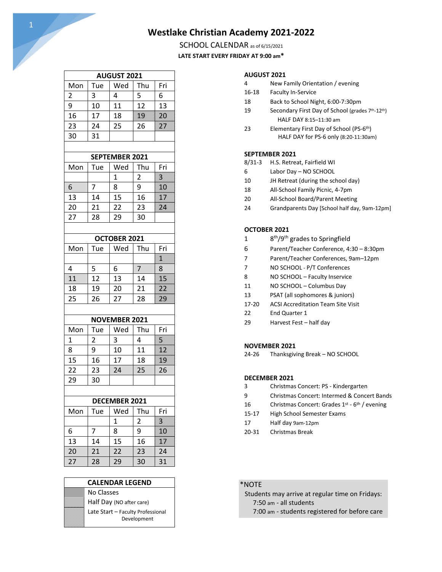## **Westlake Christian Academy 2021-2022**

SCHOOL CALENDAR as of 6/15/2021 **LATE START EVERY FRIDAY AT 9:00 am\***

| <b>AUGUST 2021</b> |     |     |     |     |
|--------------------|-----|-----|-----|-----|
| Mon                | Tue | Wed | Thu | Fri |
| $\overline{2}$     | 3   | 4   | 5   | 6   |
| 9                  | 10  | 11  | 12  | 13  |
| 16                 | 17  | 18  | 19  |     |
| 23                 | 24  | 25  | 26  |     |
| 30                 | 31  |     |     |     |
|                    |     |     |     |     |

#### **SEPTEMBER 2021**

| Mon | Tue | Wed | Thu | Fri |
|-----|-----|-----|-----|-----|
|     |     |     | 2   |     |
| 6   |     | 8   | q   |     |
| 13  | 14  | 15  | 16  |     |
| 20  | 21  | 22  | 23  |     |
| 27  | 28  | 29  | 30  |     |
|     |     |     |     |     |

#### **OCTOBER 2021**

| Mon | Tue | Wed | Thu | Fri |
|-----|-----|-----|-----|-----|
|     |     |     |     |     |
|     | 5   | 6   |     | 8   |
| 11  | 12  | 13  | 14  |     |
| 18  | 19  | 20  | 21  |     |
| 25  | 26  | 27  | 28  |     |
|     |     |     |     |     |

#### **NOVEMBER 2021**

| Mon | Tue | Wed | Thu | Fri |
|-----|-----|-----|-----|-----|
|     | 2   | 3   |     | 霧   |
| 8   | 9   | 10  | 11  |     |
| 15  | 16  | 17  | 18  |     |
| 22  | 23  | 24  | 25  | 26  |
| 29  | 30  |     |     |     |

#### **DECEMBER 2021**

| Mon | Tue | Wed | Thu | Fri |
|-----|-----|-----|-----|-----|
|     |     | 1   | 2   |     |
| 6   |     | 8   | 9   |     |
| 13  | 14  | 15  | 16  |     |
| 20  | 21  | 22  | 23  | 24  |
| 27  | 28  | 29  | 30  | 31  |

#### **CALENDAR LEGEND**

No Classes Half Day (NO after care) Late Start – Faculty Professional Development

#### **AUGUST 2021**

| 4 | New Family Orientation / evening |  |
|---|----------------------------------|--|
|---|----------------------------------|--|

- 16-18 Faculty In-Service
- 18 Back to School Night, 6:00-7:30pm
- 19 Secondary First Day of School (grades 7<sup>th</sup>-12<sup>th</sup>) HALF DAY 8:15–11:30 am
- 23 Elementary First Day of School (PS-6<sup>th</sup>) HALF DAY for PS-6 only (8:20-11:30am)

#### **SEPTEMBER 2021**

- 8/31-3 H.S. Retreat, Fairfield WI
- 6 Labor Day NO SCHOOL
- 10 JH Retreat (during the school day)
- 18 All-School Family Picnic, 4-7pm
- 20 All-School Board/Parent Meeting
- 24 Grandparents Day [School half day, 9am-12pm]

#### **OCTOBER 2021**

- 1 8<sup>th</sup>/9<sup>th</sup> grades to Springfield
- 6 Parent/Teacher Conference, 4:30 8:30pm
- 7 Parent/Teacher Conferences, 9am–12pm
- 7 NO SCHOOL P/T Conferences
- 8 NO SCHOOL Faculty Inservice
- 11 NO SCHOOL Columbus Day
- 13 PSAT (all sophomores & juniors)
- 17-20 ACSI Accreditation Team Site Visit
- 22 End Quarter 1
- 29 Harvest Fest half day

#### **NOVEMBER 2021**

24-26 Thanksgiving Break – NO SCHOOL

#### **DECEMBER 2021**

- 3 Christmas Concert: PS Kindergarten
- 9 Christmas Concert: Intermed & Concert Bands
- 16 Christmas Concert: Grades 1<sup>st</sup> 6<sup>th</sup> / evening
- 15-17 High School Semester Exams
- 17 Half day 9am-12pm
- 20-31 Christmas Break

#### \*NOTE

 Students may arrive at regular time on Fridays: 7:50 am - all students

7:00 am - students registered for before care